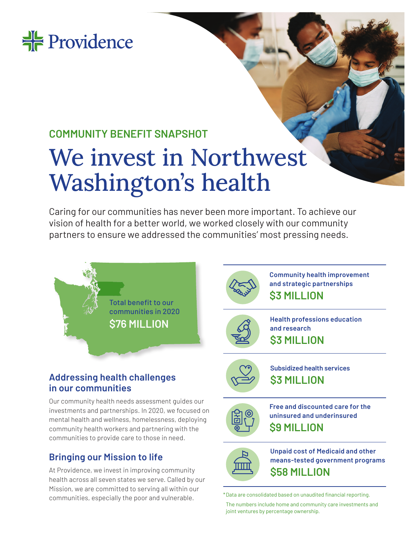

## **COMMUNITY BENEFIT SNAPSHOT**

# We invest in Northwest Washington's health

Caring for our communities has never been more important. To achieve our vision of health for a better world, we worked closely with our community partners to ensure we addressed the communities' most pressing needs.





**Community health improvement and strategic partnerships \$3 MILLION**



**Health professions education and research \$3 MILLION**



**Subsidized health services \$3 MILLION**



**Free and discounted care for the uninsured and underinsured \$9 MILLION**



**Unpaid cost of Medicaid and other means-tested government programs \$58 MILLION**

The numbers include home and community care investments and joint ventures by percentage ownership.

### **Addressing health challenges in our communities**

Our community health needs assessment guides our investments and partnerships. In 2020, we focused on mental health and wellness, homelessness, deploying community health workers and partnering with the communities to provide care to those in need.

### **Bringing our Mission to life**

At Providence, we invest in improving community health across all seven states we serve. Called by our Mission, we are committed to serving all within our communities, especially the poor and vulnerable.  $*$ Data are consolidated based on unaudited financial reporting.